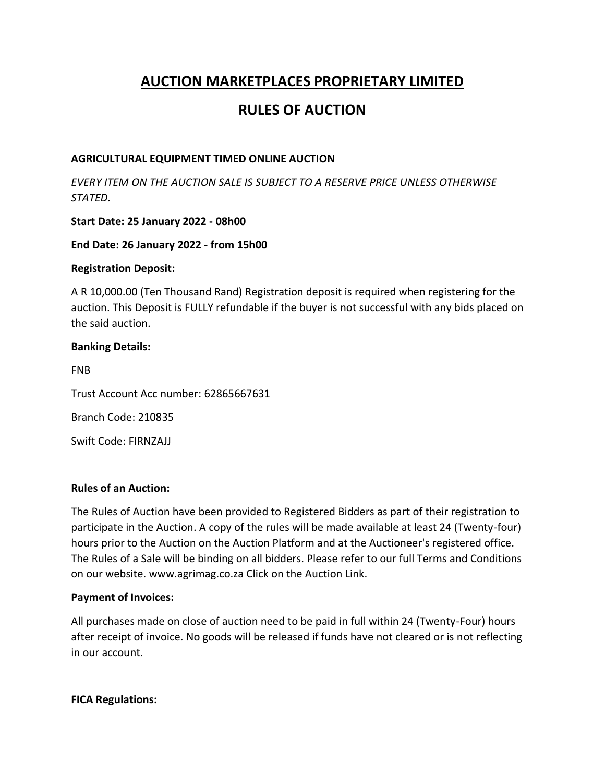# **AUCTION MARKETPLACES PROPRIETARY LIMITED**

## **RULES OF AUCTION**

### **AGRICULTURAL EQUIPMENT TIMED ONLINE AUCTION**

*EVERY ITEM ON THE AUCTION SALE IS SUBJECT TO A RESERVE PRICE UNLESS OTHERWISE STATED.*

### **Start Date: 25 January 2022 - 08h00**

#### **End Date: 26 January 2022 - from 15h00**

#### **Registration Deposit:**

A R 10,000.00 (Ten Thousand Rand) Registration deposit is required when registering for the auction. This Deposit is FULLY refundable if the buyer is not successful with any bids placed on the said auction.

#### **Banking Details:**

FNB Trust Account Acc number: 62865667631 Branch Code: 210835 Swift Code: FIRNZAJJ

#### **Rules of an Auction:**

The Rules of Auction have been provided to Registered Bidders as part of their registration to participate in the Auction. A copy of the rules will be made available at least 24 (Twenty-four) hours prior to the Auction on the Auction Platform and at the Auctioneer's registered office. The Rules of a Sale will be binding on all bidders. Please refer to our full Terms and Conditions on our website. www.agrimag.co.za Click on the Auction Link.

#### **Payment of Invoices:**

All purchases made on close of auction need to be paid in full within 24 (Twenty-Four) hours after receipt of invoice. No goods will be released if funds have not cleared or is not reflecting in our account.

#### **FICA Regulations:**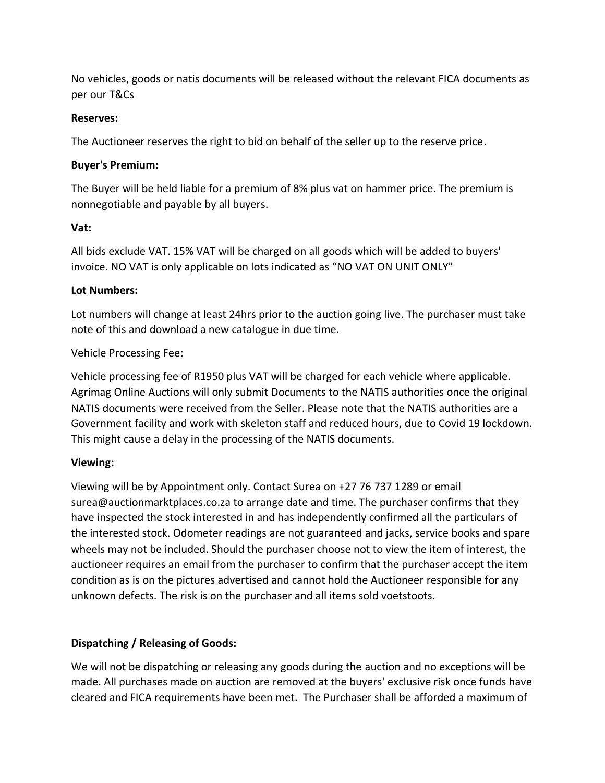No vehicles, goods or natis documents will be released without the relevant FICA documents as per our T&Cs

#### **Reserves:**

The Auctioneer reserves the right to bid on behalf of the seller up to the reserve price.

## **Buyer's Premium:**

The Buyer will be held liable for a premium of 8% plus vat on hammer price. The premium is nonnegotiable and payable by all buyers.

## **Vat:**

All bids exclude VAT. 15% VAT will be charged on all goods which will be added to buyers' invoice. NO VAT is only applicable on lots indicated as "NO VAT ON UNIT ONLY"

## **Lot Numbers:**

Lot numbers will change at least 24hrs prior to the auction going live. The purchaser must take note of this and download a new catalogue in due time.

## Vehicle Processing Fee:

Vehicle processing fee of R1950 plus VAT will be charged for each vehicle where applicable. Agrimag Online Auctions will only submit Documents to the NATIS authorities once the original NATIS documents were received from the Seller. Please note that the NATIS authorities are a Government facility and work with skeleton staff and reduced hours, due to Covid 19 lockdown. This might cause a delay in the processing of the NATIS documents.

## **Viewing:**

Viewing will be by Appointment only. Contact Surea on +27 76 737 1289 or email surea@auctionmarktplaces.co.za to arrange date and time. The purchaser confirms that they have inspected the stock interested in and has independently confirmed all the particulars of the interested stock. Odometer readings are not guaranteed and jacks, service books and spare wheels may not be included. Should the purchaser choose not to view the item of interest, the auctioneer requires an email from the purchaser to confirm that the purchaser accept the item condition as is on the pictures advertised and cannot hold the Auctioneer responsible for any unknown defects. The risk is on the purchaser and all items sold voetstoots.

## **Dispatching / Releasing of Goods:**

We will not be dispatching or releasing any goods during the auction and no exceptions will be made. All purchases made on auction are removed at the buyers' exclusive risk once funds have cleared and FICA requirements have been met. The Purchaser shall be afforded a maximum of